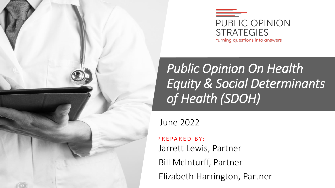



## *Public Opinion On Health Equity & Social Determinants of Health (SDOH)*

June 2022

P R E PA R E D B Y: Jarrett Lewis, Partner Bill McInturff, Partner Elizabeth Harrington, Partner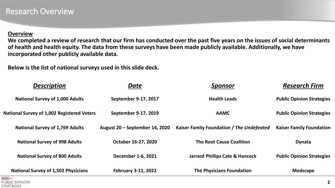#### **Overview**

**We completed a review of research that our firm has conducted over the past five years on the issues of social determinants of health and health equity. The data from these surveys have been made publicly available. Additionally, we have incorporated other publicly available data.** 

**Below is the list of national surveys used in this slide deck.** 

| <b>Description</b>                                | Date                           | <b>Sponsor</b>                             | <b>Research Firm</b>             |
|---------------------------------------------------|--------------------------------|--------------------------------------------|----------------------------------|
| <b>National Survey of 1,000 Adults</b>            | September 9-17, 2017           | <b>Health Leads</b>                        | <b>Public Opinion Strategies</b> |
| <b>National Survey of 1,002 Registered Voters</b> | September 9-17, 2019           | <b>AAMC</b>                                | <b>Public Opinion Strategies</b> |
| <b>National Survey of 1,769 Adults</b>            | August 20 – September 14, 2020 | Kaiser Family Foundation / The Undefeated  | <b>Kaiser Family Foundation</b>  |
| <b>National Survey of 998 Adults</b>              | October 16-27, 2020            | <b>The Root Cause Coalition</b>            | <b>Dynata</b>                    |
| <b>National Survey of 800 Adults</b>              | December 1-6, 2021             | <b>Jarrard Phillips Cate &amp; Hancock</b> | <b>Public Opinion Strategies</b> |
| <b>National Survey of 1,502 Physicians</b>        | <b>February 3-11, 2022</b>     | <b>The Physicians Foundation</b>           | <b>Medscape</b>                  |

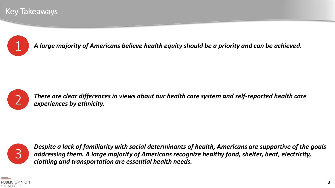#### Key Takeaways



1 *A large majority of Americans believe health equity should be a priority and can be achieved.*



*There are clear differences in views about our health care system and self-reported health care experiences by ethnicity.* 



*Despite a lack of familiarity with social determinants of health, Americans are supportive of the goals addressing them. A large majority of Americans recognize healthy food, shelter, heat, electricity, clothing and transportation are essential health needs.* 

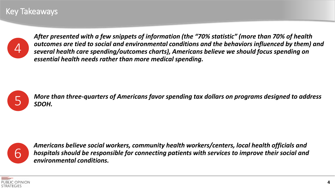#### Key Takeaways



*After presented with a few snippets of information (the "70% statistic" (more than 70% of health outcomes are tied to social and environmental conditions and the behaviors influenced by them) and several health care spending/outcomes charts), Americans believe we should focus spending on essential health needs rather than more medical spending.* 



*More than three-quarters of Americans favor spending tax dollars on programs designed to address*<br>SDOH.



*Americans believe social workers, community health workers/centers, local health officials and hospitals should be responsible for connecting patients with services to improve their social and environmental conditions.*

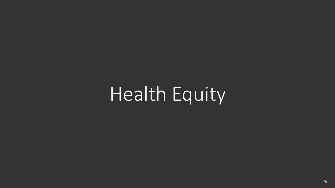Health Equity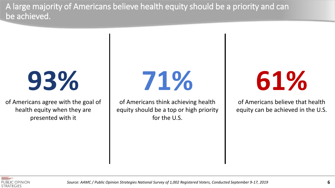A large majority of Americans believe health equity should be a priority and can be achieved.

# **93%**

of Americans agree with the goal of health equity when they are presented with it

**71%**

of Americans think achieving health equity should be a top or high priority for the U.S.

**61%**

of Americans believe that health equity can be achieved in the U.S.



*Source: AAMC / Public Opinion Strategies National Survey of 1,002 Registered Voters, Conducted September 9-17, 2019*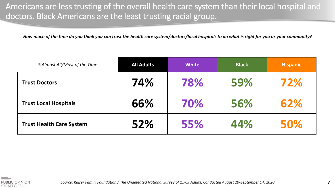Americans are less trusting of the overall health care system than their local hospital and doctors. Black Americans are the least trusting racial group.

*How much of the time do you think you can trust the health care system/doctors/local hospitals to do what is right for you or your community?*

| %Almost All/Most of the Time    | <b>All Adults</b> | <b>White</b> | <b>Black</b> | <b>Hispanic</b> |
|---------------------------------|-------------------|--------------|--------------|-----------------|
| <b>Trust Doctors</b>            | 74%               | 78%          | 59%          | 72%             |
| <b>Trust Local Hospitals</b>    | 66%               | 70%          | 56%          | 62%             |
| <b>Trust Health Care System</b> | 52%               | 55%          | 44%          | 50%             |

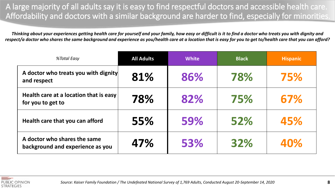A large majority of all adults say it is easy to find respectful doctors and accessible health care. Affordability and doctors with a similar background are harder to find, especially for minorities.

*Thinking about your experiences getting health care for yourself and your family, how easy or difficult is it to find a doctor who treats you with dignity and respect/a doctor who shares the same background and experience as you/health care at a location that is easy for you to get to/health care that you can afford?*

| %Total Easy                                                      | <b>All Adults</b> | <b>White</b> | <b>Black</b> | <b>Hispanic</b> |
|------------------------------------------------------------------|-------------------|--------------|--------------|-----------------|
| A doctor who treats you with dignity<br>and respect              | 81%               | 86%          | 78%          | 75%             |
| Health care at a location that is easy<br>for you to get to      | 78%               | 82%          | 75%          | 67%             |
| Health care that you can afford                                  | 55%               | 59%          | 52%          | 45%             |
| A doctor who shares the same<br>background and experience as you | 47%               | 53%          | 32%          | 40%             |

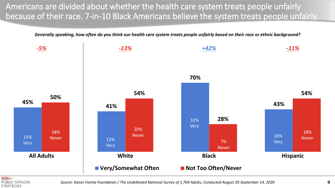Americans are divided about whether the health care system treats people unfairly because of their race. 7-in-10 Black Americans believe the system treats people unfairly.

*Generally speaking, how often do you think our health care system treats people unfairly based on their race or ethnic background?* 





*Source: Kaiser Family Foundation / The Undefeated National Survey of 1,769 Adults, Conducted August 20-September 14, 2020*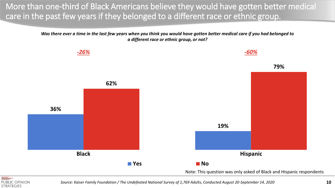More than one-third of Black Americans believe they would have gotten better medical care in the past few years if they belonged to a different race or ethnic group.

> *Was there ever a time in the last few years when you think you would have gotten better medical care if you had belonged to a different race or ethnic group, or not?*





*Source: Kaiser Family Foundation / The Undefeated National Survey of 1,769 Adults, Conducted August 20-September 14, 2020*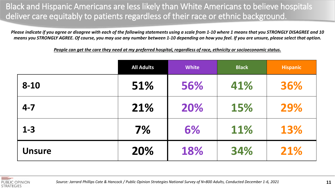Black and Hispanic Americans are less likely than White Americans to believe hospitals deliver care equitably to patients regardless of their race or ethnic background.

*Please indicate if you agree or disagree with each of the following statements using a scale from 1-10 where 1 means that you STRONGLY DISAGREE and 10 means you STRONGLY AGREE. Of course, you may use any number between 1-10 depending on how you feel. If you are unsure, please select that option.*

*People can get the care they need at my preferred hospital, regardless of race, ethnicity or socioeconomic status.*

|               | <b>All Adults</b> | <b>White</b> | <b>Black</b> | <b>Hispanic</b> |
|---------------|-------------------|--------------|--------------|-----------------|
| $8 - 10$      | 51%               | 56%          | 41%          | 36%             |
| $4 - 7$       | 21%               | 20%          | 15%          | 29%             |
| $1 - 3$       | 7%                | 6%           | 11%          | 13%             |
| <b>Unsure</b> | 20%               | 18%          | 34%          | 21%             |

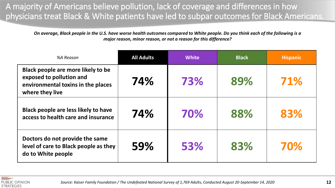A majority of Americans believe pollution, lack of coverage and differences in how physicians treat Black & White patients have led to subpar outcomes for Black Americans.

*On average, Black people in the U.S. have worse health outcomes compared to White people. Do you think each of the following is a major reason, minor reason, or not a reason for this difference?* 

| %A Reason                                                                                                               | <b>All Adults</b> | <b>White</b> | <b>Black</b> | <b>Hispanic</b> |
|-------------------------------------------------------------------------------------------------------------------------|-------------------|--------------|--------------|-----------------|
| Black people are more likely to be<br>exposed to pollution and<br>environmental toxins in the places<br>where they live | 74%               | 73%          | 89%          | 71%             |
| Black people are less likely to have<br>access to health care and insurance                                             | 74%               | 70%          | 88%          | 83%             |
| Doctors do not provide the same<br>level of care to Black people as they<br>do to White people                          | 59%               | 53%          | 83%          | 70%             |

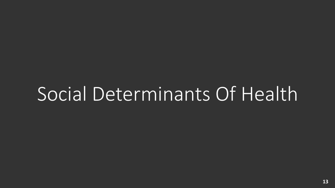## Social Determinants Of Health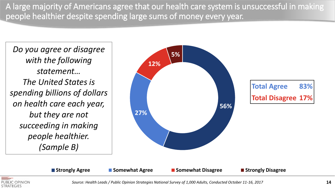A large majority of Americans agree that our health care system is unsuccessful in making people healthier despite spending large sums of money every year.

*Do you agree or disagree with the following statement… The United States is spending billions of dollars on health care each year, but they are not succeeding in making people healthier. (Sample B)*



**Total Agree 83% Total Disagree 17%**



**Strongly Agree Somewhat Agree Somewhat Disagree Strongly Disagree**

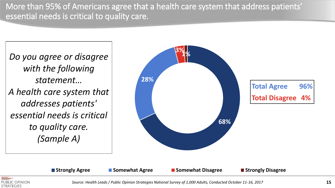More than 95% of Americans agree that a health care system that address patients' essential needs is critical to quality care.

*Do you agree or disagree with the following statement… A health care system that addresses patients' essential needs is critical to quality care. (Sample A)*



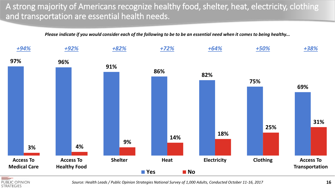A strong majority of Americans recognize healthy food, shelter, heat, electricity, clothing and transportation are essential health needs.

*Please indicate if you would consider each of the following to be to be an essential need when it comes to being healthy...*



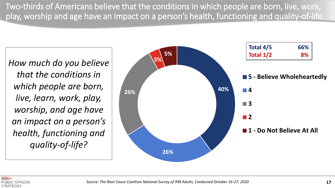Two-thirds of Americans believe that the conditions in which people are born, live, work, play, worship and age have an impact on a person's health, functioning and quality-of-life.

*How much do you believe that the conditions in which people are born, live, learn, work, play, worship, and age have an impact on a person's health, functioning and quality-of-life?*



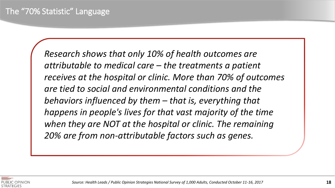*Research shows that only 10% of health outcomes are attributable to medical care – the treatments a patient receives at the hospital or clinic. More than 70% of outcomes are tied to social and environmental conditions and the behaviors influenced by them – that is, everything that happens in people's lives for that vast majority of the time when they are NOT at the hospital or clinic. The remaining 20% are from non‐attributable factors such as genes.*

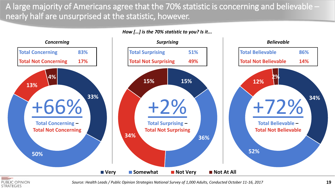A large majority of Americans agree that the 70% statistic is concerning and believable – nearly half are unsurprised at the statistic, however.

*How […] is the 70% statistic to you? Is it...*





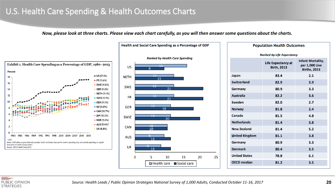#### U.S. Health Care Spending & Health Outcomes Charts

*Now, please look at three charts. Please view each chart carefully, as you will then answer some questions about the charts.*





| <b>Population Health Outcomes</b> |                                          |                                                                   |  |  |
|-----------------------------------|------------------------------------------|-------------------------------------------------------------------|--|--|
|                                   | <b>Ranked by Life Expectancy</b>         |                                                                   |  |  |
|                                   | Life Expectancy at<br><b>Birth, 2013</b> | <b>Infant Mortality,</b><br>per 1,000 Live<br><b>Births, 2013</b> |  |  |
| Japan                             | 83.4                                     | 2.1                                                               |  |  |
| <b>Switzerland</b>                | 82.9                                     | 3.9                                                               |  |  |
| Germany                           | 80.9                                     | 3.3                                                               |  |  |
| <b>Australia</b>                  | 82.2                                     | 3.6                                                               |  |  |
| Sweden                            | 82.0                                     | 2.7                                                               |  |  |
| <b>Norway</b>                     | 81.8                                     | 2.4                                                               |  |  |
| Canada                            | 81.5                                     | 4.8                                                               |  |  |
| <b>Netherlands</b>                | 81.4                                     | 3.8                                                               |  |  |
| <b>New Zealand</b>                | 81.4                                     | 5.2                                                               |  |  |
| <b>United Kingdom</b>             | 81.1                                     | 3.8                                                               |  |  |
| Germany                           | 80.9                                     | 3.3                                                               |  |  |
| <b>Denmark</b>                    | 80.4                                     | 3.5                                                               |  |  |
| <b>United States</b>              | 78.8                                     | 6.1                                                               |  |  |
| <b>OECD median</b>                | 81.2                                     | 3.5                                                               |  |  |
|                                   |                                          |                                                                   |  |  |

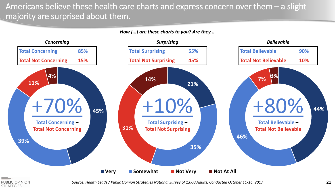#### Americans believe these health care charts and express concern over them – a slight majority are surprised about them.



PUBLIC OPINION **STRATEGIES**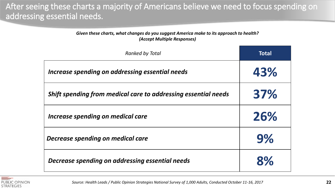After seeing these charts a majority of Americans believe we need to focus spending on addressing essential needs.

> *Given these charts, what changes do you suggest America make to its approach to health? (Accept Multiple Responses)*

| <b>Ranked by Total</b>                                         | <b>Total</b> |
|----------------------------------------------------------------|--------------|
| Increase spending on addressing essential needs                | 43%          |
| Shift spending from medical care to addressing essential needs | 37%          |
| Increase spending on medical care                              | 26%          |
| <b>Decrease spending on medical care</b>                       | 9%           |
| Decrease spending on addressing essential needs                | 8%           |

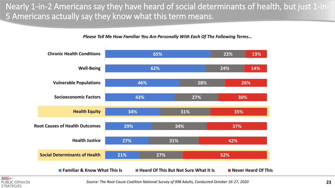Nearly 1-in-2 Americans say they have heard of social determinants of health, but just 1-in-5 Americans actually say they know what this term means.

*Please Tell Me How Familiar You Are Personally With Each Of The Following Terms…*





*Source: The Root Cause Coalition National Survey of 998 Adults, Conducted October 16-27, 2020*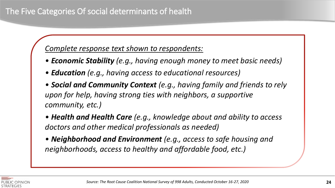#### *Complete response text shown to respondents:*

- *Economic Stability (e.g., having enough money to meet basic needs)*
- *Education (e.g., having access to educational resources)*
- *Social and Community Context (e.g., having family and friends to rely upon for help, having strong ties with neighbors, a supportive community, etc.)*
- *Health and Health Care (e.g., knowledge about and ability to access doctors and other medical professionals as needed)*
- *Neighborhood and Environment (e.g., access to safe housing and neighborhoods, access to healthy and affordable food, etc.)*

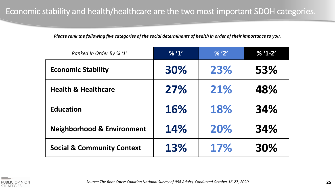*Please rank the following five categories of the social determinants of health in order of their importance to you.*

| Ranked In Order By % '1'              | % '1' | % '2' | $% '1-2'$ |
|---------------------------------------|-------|-------|-----------|
| <b>Economic Stability</b>             | 30%   | 23%   | 53%       |
| <b>Health &amp; Healthcare</b>        | 27%   | 21%   | 48%       |
| <b>Education</b>                      | 16%   | 18%   | 34%       |
| <b>Neighborhood &amp; Environment</b> | 14%   | 20%   | 34%       |
| <b>Social &amp; Community Context</b> | 13%   | 17%   | 30%       |

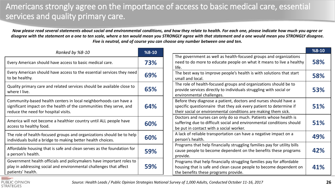#### Americans strongly agree on the importance of access to basic medical care, essential services and quality primary care.

*Now please read several statements about social and environmental conditions, and how they relate to health. For each one, please indicate how much you agree or disagree with the statement on a one to ten scale, where a ten would mean you STRONGLY agree with that statement and a one would mean you STRONGLY disagree. Five is neutral, and of course you can choose any number between one and ten.*

| Ranked by %8-10                                                                                                                                                                 | $%8-10$ |                                                                                                                                                                                                          | $%8-10$ |
|---------------------------------------------------------------------------------------------------------------------------------------------------------------------------------|---------|----------------------------------------------------------------------------------------------------------------------------------------------------------------------------------------------------------|---------|
| Every American should have access to basic medical care.                                                                                                                        | 73%     | The government as well as health-focused groups and organizations<br>need to do more to educate people on what it means to live a healthy<br>life.                                                       | 58%     |
| Every American should have access to the essential services they need<br>to be healthy.                                                                                         | 69%     | The best way to improve people's health is with solutions that start<br>small and local.                                                                                                                 | 58%     |
| Quality primary care and related services should be available close to<br>where I live.                                                                                         | 65%     | The role of health-focused groups and organizations should be to<br>provide services directly to individuals struggling with social or<br>environmental challenges.                                      | 53%     |
| Community-based health centers in local neighborhoods can have a<br>significant impact on the health of the communities they serve, and<br>reduce the need for hospital visits. | 64%     | Before they diagnose a patient, doctors and nurses should have a<br>specific questionnaire that they ask every patient to determine if<br>their social or environmental conditions are making them sick. | 51%     |
| America will not become a healthier country until ALL people have<br>access to healthy food.                                                                                    | 60%     | Doctors and nurses can only do so much. Patients whose health is<br>suffering due to difficult social and environmental conditions should<br>be put in contact with a social worker.                     | 51%     |
| The role of health-focused groups and organizations should be to help<br>individuals build a bridge to making better health choices.                                            | 60%     | A lack of reliable transportation can have a negative impact on a<br>person's health.                                                                                                                    | 49%     |
| Affordable housing that is safe and clean serves as the foundation for<br>a person's health.                                                                                    | 59%     | Programs that help financially struggling families pay for utility bills<br>cause people to become dependent on the benefits these programs<br>provide.                                                  | 42%     |
| Government health officials and policymakers have important roles to<br>play in addressing social and environmental challenges that affect<br>patients' health.                 | 59%     | Programs that help financially struggling families pay for affordable<br>housing that is safe and clean cause people to become dependent on<br>the benefits these programs provide.                      | 41%     |

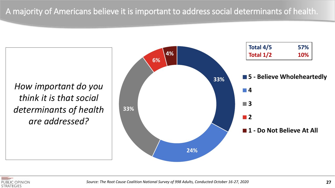*How important do you think it is that social determinants of health are addressed?*



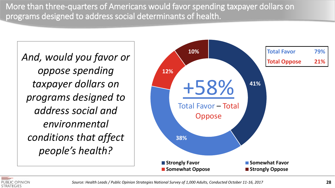More than three-quarters of Americans would favor spending taxpayer dollars on programs designed to address social determinants of health.

*oppose spending taxpayer dollars on programs designed to address social and environmental conditions that affect people's health?*



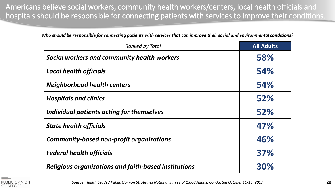Americans believe social workers, community health workers/centers, local health officials and hospitals should be responsible for connecting patients with services to improve their conditions.

*Who should be responsible for connecting patients with services that can improve their social and environmental conditions?* 

| <b>Ranked by Total</b>                                      | <b>All Adults</b> |
|-------------------------------------------------------------|-------------------|
| <b>Social workers and community health workers</b>          | 58%               |
| <b>Local health officials</b>                               | 54%               |
| <b>Neighborhood health centers</b>                          | 54%               |
| <b>Hospitals and clinics</b>                                | 52%               |
| Individual patients acting for themselves                   | 52%               |
| <b>State health officials</b>                               | 47%               |
| <b>Community-based non-profit organizations</b>             | 46%               |
| <b>Federal health officials</b>                             | 37%               |
| <b>Religious organizations and faith-based institutions</b> | 30%               |

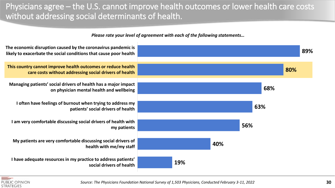#### Physicians agree – the U.S. cannot improve health outcomes or lower health care costs without addressing social determinants of health.

*Please rate your level of agreement with each of the following statements…*





*Source: The Physicians Foundation National Survey of 1,503 Physicians, Conducted February 3-11, 2022*